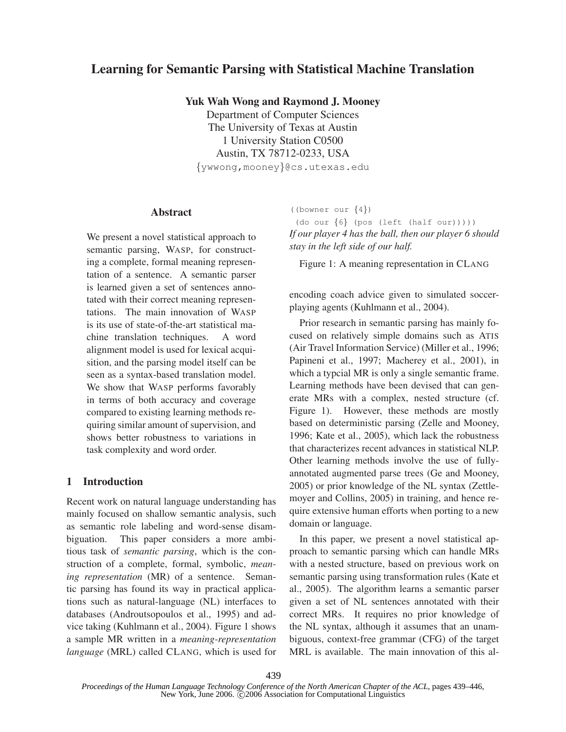# **Learning for Semantic Parsing with Statistical Machine Translation**

**Yuk Wah Wong and Raymond J. Mooney**

Department of Computer Sciences The University of Texas at Austin 1 University Station C0500 Austin, TX 78712-0233, USA {ywwong,mooney}@cs.utexas.edu

#### **Abstract**

We present a novel statistical approach to semantic parsing, WASP, for constructing a complete, formal meaning representation of a sentence. A semantic parser is learned given a set of sentences annotated with their correct meaning representations. The main innovation of WASP is its use of state-of-the-art statistical machine translation techniques. A word alignment model is used for lexical acquisition, and the parsing model itself can be seen as a syntax-based translation model. We show that WASP performs favorably in terms of both accuracy and coverage compared to existing learning methods requiring similar amount of supervision, and shows better robustness to variations in task complexity and word order.

### **1 Introduction**

Recent work on natural language understanding has mainly focused on shallow semantic analysis, such as semantic role labeling and word-sense disambiguation. This paper considers a more ambitious task of *semantic parsing*, which is the construction of a complete, formal, symbolic, *meaning representation* (MR) of a sentence. Semantic parsing has found its way in practical applications such as natural-language (NL) interfaces to databases (Androutsopoulos et al., 1995) and advice taking (Kuhlmann et al., 2004). Figure 1 shows a sample MR written in a *meaning-representation language* (MRL) called CLANG, which is used for ((bowner our {4})

(do our  $\{6\}$  (pos (left (half our))))) *If our player 4 has the ball, then our player 6 should stay in the left side of our half.*

Figure 1: A meaning representation in CLANG

encoding coach advice given to simulated soccerplaying agents (Kuhlmann et al., 2004).

Prior research in semantic parsing has mainly focused on relatively simple domains such as ATIS (Air Travel Information Service) (Miller et al., 1996; Papineni et al., 1997; Macherey et al., 2001), in which a typcial MR is only a single semantic frame. Learning methods have been devised that can generate MRs with a complex, nested structure (cf. Figure 1). However, these methods are mostly based on deterministic parsing (Zelle and Mooney, 1996; Kate et al., 2005), which lack the robustness that characterizes recent advances in statistical NLP. Other learning methods involve the use of fullyannotated augmented parse trees (Ge and Mooney, 2005) or prior knowledge of the NL syntax (Zettlemoyer and Collins, 2005) in training, and hence require extensive human efforts when porting to a new domain or language.

In this paper, we present a novel statistical approach to semantic parsing which can handle MRs with a nested structure, based on previous work on semantic parsing using transformation rules (Kate et al., 2005). The algorithm learns a semantic parser given a set of NL sentences annotated with their correct MRs. It requires no prior knowledge of the NL syntax, although it assumes that an unambiguous, context-free grammar (CFG) of the target MRL is available. The main innovation of this al-

*Proceedings of the Human Language Technology Conference of the North American Chapter of the ACL*, pages 439–446, New York, June 2006. C 2006 Association for Computational Linguistics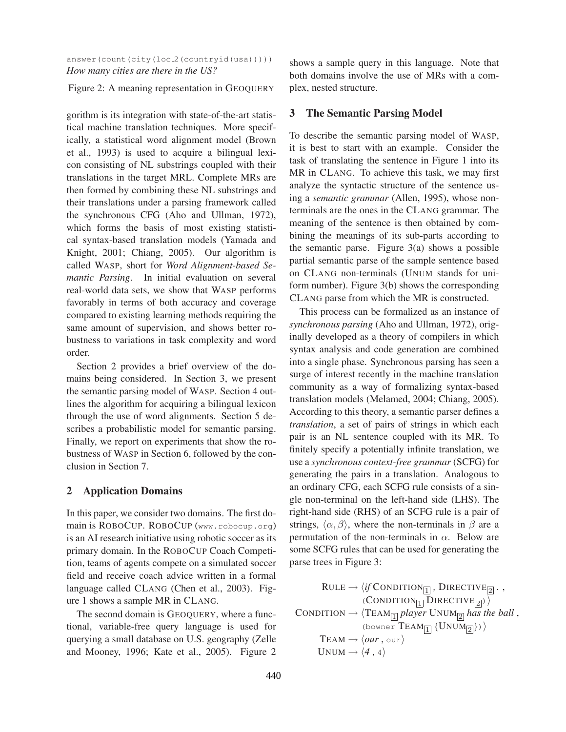### answer(count(city(loc\_2(countryid(usa))))) *How many cities are there in the US?*

#### Figure 2: A meaning representation in GEOQUERY

gorithm is its integration with state-of-the-art statistical machine translation techniques. More specifically, a statistical word alignment model (Brown et al., 1993) is used to acquire a bilingual lexicon consisting of NL substrings coupled with their translations in the target MRL. Complete MRs are then formed by combining these NL substrings and their translations under a parsing framework called the synchronous CFG (Aho and Ullman, 1972), which forms the basis of most existing statistical syntax-based translation models (Yamada and Knight, 2001; Chiang, 2005). Our algorithm is called WASP, short for *Word Alignment-based Semantic Parsing*. In initial evaluation on several real-world data sets, we show that WASP performs favorably in terms of both accuracy and coverage compared to existing learning methods requiring the same amount of supervision, and shows better robustness to variations in task complexity and word order.

Section 2 provides a brief overview of the domains being considered. In Section 3, we present the semantic parsing model of WASP. Section 4 outlines the algorithm for acquiring a bilingual lexicon through the use of word alignments. Section 5 describes a probabilistic model for semantic parsing. Finally, we report on experiments that show the robustness of WASP in Section 6, followed by the conclusion in Section 7.

### **2 Application Domains**

In this paper, we consider two domains. The first domain is ROBOCUP. ROBOCUP (www.robocup.org) is an AI research initiative using robotic soccer as its primary domain. In the ROBOCUP Coach Competition, teams of agents compete on a simulated soccer field and receive coach advice written in a formal language called CLANG (Chen et al., 2003). Figure 1 shows a sample MR in CLANG.

The second domain is GEOQUERY, where a functional, variable-free query language is used for querying a small database on U.S. geography (Zelle and Mooney, 1996; Kate et al., 2005). Figure 2 shows a sample query in this language. Note that both domains involve the use of MRs with a complex, nested structure.

### **3 The Semantic Parsing Model**

To describe the semantic parsing model of WASP, it is best to start with an example. Consider the task of translating the sentence in Figure 1 into its MR in CLANG. To achieve this task, we may first analyze the syntactic structure of the sentence using a *semantic grammar* (Allen, 1995), whose nonterminals are the ones in the CLANG grammar. The meaning of the sentence is then obtained by combining the meanings of its sub-parts according to the semantic parse. Figure  $3(a)$  shows a possible partial semantic parse of the sample sentence based on CLANG non-terminals (UNUM stands for uniform number). Figure 3(b) shows the corresponding CLANG parse from which the MR is constructed.

This process can be formalized as an instance of *synchronous parsing* (Aho and Ullman, 1972), originally developed as a theory of compilers in which syntax analysis and code generation are combined into a single phase. Synchronous parsing has seen a surge of interest recently in the machine translation community as a way of formalizing syntax-based translation models (Melamed, 2004; Chiang, 2005). According to this theory, a semantic parser defines a *translation*, a set of pairs of strings in which each pair is an NL sentence coupled with its MR. To finitely specify a potentially infinite translation, we use a *synchronous context-free grammar* (SCFG) for generating the pairs in a translation. Analogous to an ordinary CFG, each SCFG rule consists of a single non-terminal on the left-hand side (LHS). The right-hand side (RHS) of an SCFG rule is a pair of strings,  $\langle \alpha, \beta \rangle$ , where the non-terminals in  $\beta$  are a permutation of the non-terminals in  $\alpha$ . Below are some SCFG rules that can be used for generating the parse trees in Figure 3:

RULE → 
$$
\langle if \text{CONDITION}_{\boxed{1}}, \text{DIRECTIVE}_{\boxed{2}} \rangle
$$
,  
\n $\langle \text{CONDITION}_{\boxed{1}} \text{DIRECTIVE}_{\boxed{2}} \rangle$   
\n**CONDATION →  $\langle \text{Team}_{\boxed{1}} \text{ player UNUM}_{\boxed{2}} \text{ has the ball}$ ,**  
\n $\langle \text{lower Team}_{\boxed{1}} \{ \text{UNUM}_{\boxed{2}} \} \rangle$   
\nTEAM →  $\langle \text{our}, \text{our} \rangle$   
\nUNUM →  $\langle 4, 4 \rangle$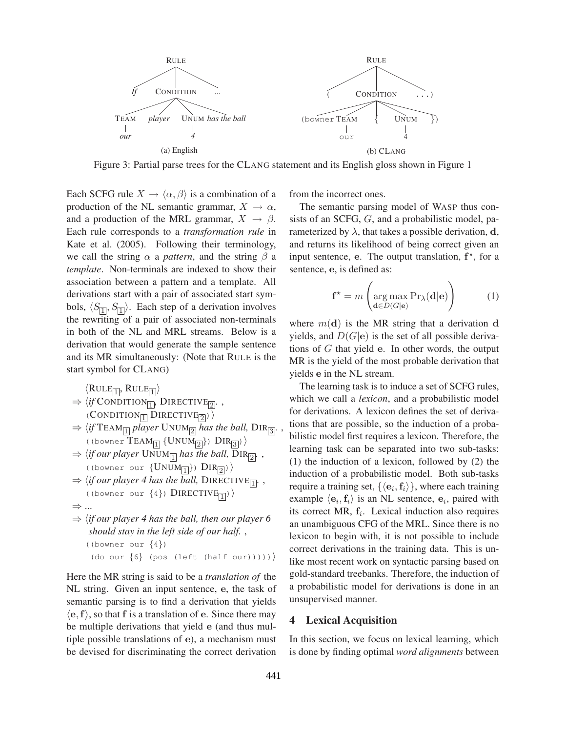

Figure 3: Partial parse trees for the CLANG statement and its English gloss shown in Figure 1

Each SCFG rule  $X \to \langle \alpha, \beta \rangle$  is a combination of a production of the NL semantic grammar,  $X \to \alpha$ , and a production of the MRL grammar,  $X \rightarrow \beta$ . Each rule corresponds to a *transformation rule* in Kate et al. (2005). Following their terminology, we call the string  $\alpha$  a *pattern*, and the string  $\beta$  a *template*. Non-terminals are indexed to show their association between a pattern and a template. All derivations start with a pair of associated start symbols,  $\langle S_{\boxed{1}}, S_{\boxed{1}} \rangle$ . Each step of a derivation involves the rewriting of a pair of associated non-terminals in both of the NL and MRL streams. Below is a derivation that would generate the sample sentence and its MR simultaneously: (Note that RULE is the start symbol for CLANG)

 $\langle \mathrm{RULE}_{\boxed{1}}, \, \mathrm{RULE}_{\boxed{1}} \rangle$ 

- $\Rightarrow \langle if \text{Condition}_{\boxed{1}}, \text{Directive}_{\boxed{2}} \rangle$ ,  $\langle$  CONDITION<sub>[1]</sub> DIRECTIVE<sub>[2]</sub> $\rangle$
- $\Rightarrow$   $\langle$ *if* TEAM $\boxed{1}$  player UNUM $\boxed{2}$  has the ball, DIR $\boxed{3}$ .  $\left(\text{ (lower Team} \{UNUM \overline{2}\}\right) \text{ DIR} \overline{3})$
- $\Rightarrow$   $\langle$ *if our player* UNUM<sub> $\boxed{1}$ </sub> has the ball, DIR $\boxed{2}$ .  $\langle$  (bowner our  $\{UNUM_{1}\}\rangle$ )  $DIR_{2}\rangle$
- $\Rightarrow$   $\langle$ *if our player 4 has the ball,* DIRECTIVE<sub>[1]</sub>. ((bowner our  $\{4\}$ ) DIRECTIVE<sub>1</sub>)
- ⇒ ...
- $\Rightarrow$   $\langle$ *if our player 4 has the ball, then our player 6 should stay in the left side of our half.* , ((bowner our {4}) (do our  $\{6\}$  (pos (left (half our)))))

Here the MR string is said to be a *translation of* the NL string. Given an input sentence, e, the task of semantic parsing is to find a derivation that yields  $\langle e, f \rangle$ , so that f is a translation of e. Since there may be multiple derivations that yield e (and thus multiple possible translations of e), a mechanism must be devised for discriminating the correct derivation

from the incorrect ones.

The semantic parsing model of WASP thus consists of an SCFG, G, and a probabilistic model, parameterized by  $\lambda$ , that takes a possible derivation, d, and returns its likelihood of being correct given an input sentence, e. The output translation,  $f^*$ , for a sentence, e, is defined as:

$$
\mathbf{f}^{\star} = m \left( \arg \max_{\mathbf{d} \in D(G|\mathbf{e})} \Pr_{\lambda}(\mathbf{d}|\mathbf{e}) \right) \tag{1}
$$

where  $m(\mathbf{d})$  is the MR string that a derivation d yields, and  $D(G|e)$  is the set of all possible derivations of G that yield e. In other words, the output MR is the yield of the most probable derivation that yields e in the NL stream.

The learning task is to induce a set of SCFG rules, which we call a *lexicon*, and a probabilistic model for derivations. A lexicon defines the set of derivations that are possible, so the induction of a probabilistic model first requires a lexicon. Therefore, the learning task can be separated into two sub-tasks: (1) the induction of a lexicon, followed by (2) the induction of a probabilistic model. Both sub-tasks require a training set,  $\{\langle e_i, f_i \rangle\}$ , where each training example  $\langle e_i, f_i \rangle$  is an NL sentence,  $e_i$ , paired with its correct MR,  $f_i$ . Lexical induction also requires an unambiguous CFG of the MRL. Since there is no lexicon to begin with, it is not possible to include correct derivations in the training data. This is unlike most recent work on syntactic parsing based on gold-standard treebanks. Therefore, the induction of a probabilistic model for derivations is done in an unsupervised manner.

### **4 Lexical Acquisition**

In this section, we focus on lexical learning, which is done by finding optimal *word alignments* between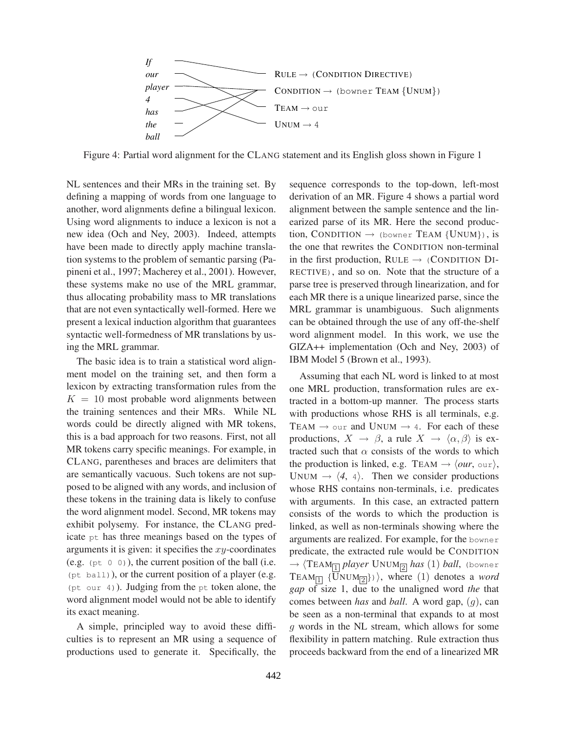

Figure 4: Partial word alignment for the CLANG statement and its English gloss shown in Figure 1

NL sentences and their MRs in the training set. By defining a mapping of words from one language to another, word alignments define a bilingual lexicon. Using word alignments to induce a lexicon is not a new idea (Och and Ney, 2003). Indeed, attempts have been made to directly apply machine translation systems to the problem of semantic parsing (Papineni et al., 1997; Macherey et al., 2001). However, these systems make no use of the MRL grammar, thus allocating probability mass to MR translations that are not even syntactically well-formed. Here we present a lexical induction algorithm that guarantees syntactic well-formedness of MR translations by using the MRL grammar.

The basic idea is to train a statistical word alignment model on the training set, and then form a lexicon by extracting transformation rules from the  $K = 10$  most probable word alignments between the training sentences and their MRs. While NL words could be directly aligned with MR tokens, this is a bad approach for two reasons. First, not all MR tokens carry specific meanings. For example, in CLANG, parentheses and braces are delimiters that are semantically vacuous. Such tokens are not supposed to be aligned with any words, and inclusion of these tokens in the training data is likely to confuse the word alignment model. Second, MR tokens may exhibit polysemy. For instance, the CLANG predicate pt has three meanings based on the types of arguments it is given: it specifies the  $xy$ -coordinates (e.g.  $(pt 0 0)$ ), the current position of the ball (i.e. (pt ball)), or the current position of a player (e.g. (pt our 4)). Judging from the pt token alone, the word alignment model would not be able to identify its exact meaning.

A simple, principled way to avoid these difficulties is to represent an MR using a sequence of productions used to generate it. Specifically, the sequence corresponds to the top-down, left-most derivation of an MR. Figure 4 shows a partial word alignment between the sample sentence and the linearized parse of its MR. Here the second production, CONDITION  $\rightarrow$  (bowner TEAM {UNUM}), is the one that rewrites the CONDITION non-terminal in the first production,  $RULE \rightarrow (CONDITION DI-$ RECTIVE), and so on. Note that the structure of a parse tree is preserved through linearization, and for each MR there is a unique linearized parse, since the MRL grammar is unambiguous. Such alignments can be obtained through the use of any off-the-shelf word alignment model. In this work, we use the GIZA++ implementation (Och and Ney, 2003) of IBM Model 5 (Brown et al., 1993).

Assuming that each NL word is linked to at most one MRL production, transformation rules are extracted in a bottom-up manner. The process starts with productions whose RHS is all terminals, e.g. TEAM  $\rightarrow$  our and UNUM  $\rightarrow$  4. For each of these productions,  $X \to \beta$ , a rule  $X \to \langle \alpha, \beta \rangle$  is extracted such that  $\alpha$  consists of the words to which the production is linked, e.g. TEAM  $\rightarrow \langle our, \text{our} \rangle$ , UNUM  $\rightarrow$   $\langle 4, 4 \rangle$ . Then we consider productions whose RHS contains non-terminals, i.e. predicates with arguments. In this case, an extracted pattern consists of the words to which the production is linked, as well as non-terminals showing where the arguments are realized. For example, for the bowner predicate, the extracted rule would be CONDITION  $\rightarrow$   $\langle$ TEAM $_{\boxed{1}}$   $player$  UNUM $_{\boxed{2}}$   $has$   $(1)$   $ball,$  (bowner  $\text{TEM}_{\boxed{1}}$  {UNUM<sub> $\boxed{2}$ </sub>}), where (1) denotes a *word gap* of size 1, due to the unaligned word *the* that comes between *has* and *ball*. A word gap, (g), can be seen as a non-terminal that expands to at most g words in the NL stream, which allows for some flexibility in pattern matching. Rule extraction thus proceeds backward from the end of a linearized MR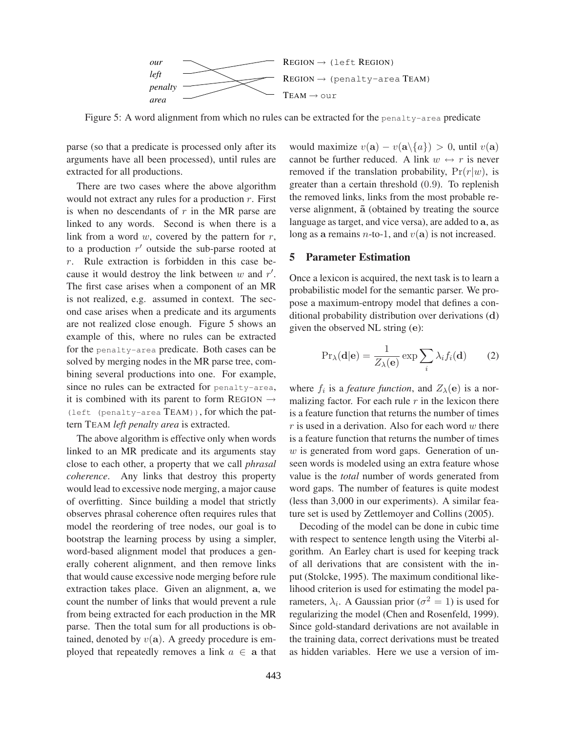

Figure 5: A word alignment from which no rules can be extracted for the penalty-area predicate

parse (so that a predicate is processed only after its arguments have all been processed), until rules are extracted for all productions.

There are two cases where the above algorithm would not extract any rules for a production  $r$ . First is when no descendants of  $r$  in the MR parse are linked to any words. Second is when there is a link from a word  $w$ , covered by the pattern for  $r$ , to a production  $r'$  outside the sub-parse rooted at r. Rule extraction is forbidden in this case because it would destroy the link between  $w$  and  $r'$ . The first case arises when a component of an MR is not realized, e.g. assumed in context. The second case arises when a predicate and its arguments are not realized close enough. Figure 5 shows an example of this, where no rules can be extracted for the penalty-area predicate. Both cases can be solved by merging nodes in the MR parse tree, combining several productions into one. For example, since no rules can be extracted for penalty-area, it is combined with its parent to form REGION  $\rightarrow$ (left (penalty-area TEAM)), for which the pattern TEAM *left penalty area* is extracted.

The above algorithm is effective only when words linked to an MR predicate and its arguments stay close to each other, a property that we call *phrasal coherence*. Any links that destroy this property would lead to excessive node merging, a major cause of overfitting. Since building a model that strictly observes phrasal coherence often requires rules that model the reordering of tree nodes, our goal is to bootstrap the learning process by using a simpler, word-based alignment model that produces a generally coherent alignment, and then remove links that would cause excessive node merging before rule extraction takes place. Given an alignment, a, we count the number of links that would prevent a rule from being extracted for each production in the MR parse. Then the total sum for all productions is obtained, denoted by  $v(\mathbf{a})$ . A greedy procedure is employed that repeatedly removes a link  $a \in \mathbf{a}$  that would maximize  $v(\mathbf{a}) - v(\mathbf{a} \setminus \{a\}) > 0$ , until  $v(\mathbf{a})$ cannot be further reduced. A link  $w \leftrightarrow r$  is never removed if the translation probability,  $Pr(r|w)$ , is greater than a certain threshold (0.9). To replenish the removed links, links from the most probable reverse alignment,  $\tilde{a}$  (obtained by treating the source language as target, and vice versa), are added to a, as long as a remains *n*-to-1, and  $v(\mathbf{a})$  is not increased.

#### **5 Parameter Estimation**

Once a lexicon is acquired, the next task is to learn a probabilistic model for the semantic parser. We propose a maximum-entropy model that defines a conditional probability distribution over derivations (d) given the observed NL string (e):

$$
\Pr_{\lambda}(\mathbf{d}|\mathbf{e}) = \frac{1}{Z_{\lambda}(\mathbf{e})} \exp \sum_{i} \lambda_{i} f_{i}(\mathbf{d}) \qquad (2)
$$

where  $f_i$  is a *feature function*, and  $Z_{\lambda}(\mathbf{e})$  is a normalizing factor. For each rule  $r$  in the lexicon there is a feature function that returns the number of times  $r$  is used in a derivation. Also for each word  $w$  there is a feature function that returns the number of times  $w$  is generated from word gaps. Generation of unseen words is modeled using an extra feature whose value is the *total* number of words generated from word gaps. The number of features is quite modest (less than 3,000 in our experiments). A similar feature set is used by Zettlemoyer and Collins (2005).

Decoding of the model can be done in cubic time with respect to sentence length using the Viterbi algorithm. An Earley chart is used for keeping track of all derivations that are consistent with the input (Stolcke, 1995). The maximum conditional likelihood criterion is used for estimating the model parameters,  $\lambda_i$ . A Gaussian prior ( $\sigma^2 = 1$ ) is used for regularizing the model (Chen and Rosenfeld, 1999). Since gold-standard derivations are not available in the training data, correct derivations must be treated as hidden variables. Here we use a version of im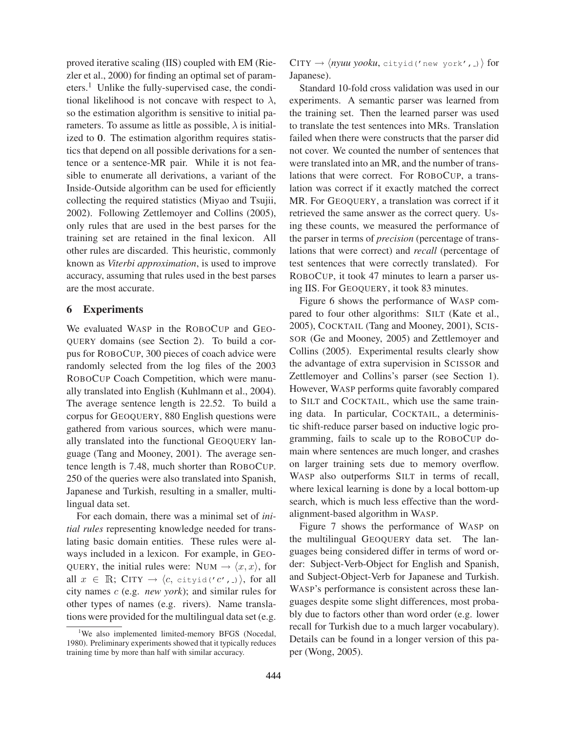proved iterative scaling (IIS) coupled with EM (Riezler et al., 2000) for finding an optimal set of parameters.<sup>1</sup> Unlike the fully-supervised case, the conditional likelihood is not concave with respect to  $\lambda$ , so the estimation algorithm is sensitive to initial parameters. To assume as little as possible,  $\lambda$  is initialized to 0. The estimation algorithm requires statistics that depend on all possible derivations for a sentence or a sentence-MR pair. While it is not feasible to enumerate all derivations, a variant of the Inside-Outside algorithm can be used for efficiently collecting the required statistics (Miyao and Tsujii, 2002). Following Zettlemoyer and Collins (2005), only rules that are used in the best parses for the training set are retained in the final lexicon. All other rules are discarded. This heuristic, commonly known as *Viterbi approximation*, is used to improve accuracy, assuming that rules used in the best parses are the most accurate.

### **6 Experiments**

We evaluated WASP in the ROBOCUP and GEO-QUERY domains (see Section 2). To build a corpus for ROBOCUP, 300 pieces of coach advice were randomly selected from the log files of the 2003 ROBOCUP Coach Competition, which were manually translated into English (Kuhlmann et al., 2004). The average sentence length is 22.52. To build a corpus for GEOQUERY, 880 English questions were gathered from various sources, which were manually translated into the functional GEOQUERY language (Tang and Mooney, 2001). The average sentence length is 7.48, much shorter than ROBOCUP. 250 of the queries were also translated into Spanish, Japanese and Turkish, resulting in a smaller, multilingual data set.

For each domain, there was a minimal set of *initial rules* representing knowledge needed for translating basic domain entities. These rules were always included in a lexicon. For example, in GEO-QUERY, the initial rules were: NUM  $\rightarrow \langle x, x \rangle$ , for all  $x \in \mathbb{R}$ ; CITY  $\rightarrow \langle c, \text{cityid}(c', \cdot) \rangle$ , for all city names c (e.g. *new york*); and similar rules for other types of names (e.g. rivers). Name translations were provided for the multilingual data set (e.g.  $CITY \rightarrow \langle nyuu yooku, \text{cityid}('new york', -) \rangle$  for Japanese).

Standard 10-fold cross validation was used in our experiments. A semantic parser was learned from the training set. Then the learned parser was used to translate the test sentences into MRs. Translation failed when there were constructs that the parser did not cover. We counted the number of sentences that were translated into an MR, and the number of translations that were correct. For ROBOCUP, a translation was correct if it exactly matched the correct MR. For GEOQUERY, a translation was correct if it retrieved the same answer as the correct query. Using these counts, we measured the performance of the parser in terms of *precision* (percentage of translations that were correct) and *recall* (percentage of test sentences that were correctly translated). For ROBOCUP, it took 47 minutes to learn a parser using IIS. For GEOQUERY, it took 83 minutes.

Figure 6 shows the performance of WASP compared to four other algorithms: SILT (Kate et al., 2005), COCKTAIL (Tang and Mooney, 2001), SCIS-SOR (Ge and Mooney, 2005) and Zettlemoyer and Collins (2005). Experimental results clearly show the advantage of extra supervision in SCISSOR and Zettlemoyer and Collins's parser (see Section 1). However, WASP performs quite favorably compared to SILT and COCKTAIL, which use the same training data. In particular, COCKTAIL, a deterministic shift-reduce parser based on inductive logic programming, fails to scale up to the ROBOCUP domain where sentences are much longer, and crashes on larger training sets due to memory overflow. WASP also outperforms SILT in terms of recall, where lexical learning is done by a local bottom-up search, which is much less effective than the wordalignment-based algorithm in WASP.

Figure 7 shows the performance of WASP on the multilingual GEOQUERY data set. The languages being considered differ in terms of word order: Subject-Verb-Object for English and Spanish, and Subject-Object-Verb for Japanese and Turkish. WASP's performance is consistent across these languages despite some slight differences, most probably due to factors other than word order (e.g. lower recall for Turkish due to a much larger vocabulary). Details can be found in a longer version of this paper (Wong, 2005).

<sup>&</sup>lt;sup>1</sup>We also implemented limited-memory BFGS (Nocedal, 1980). Preliminary experiments showed that it typically reduces training time by more than half with similar accuracy.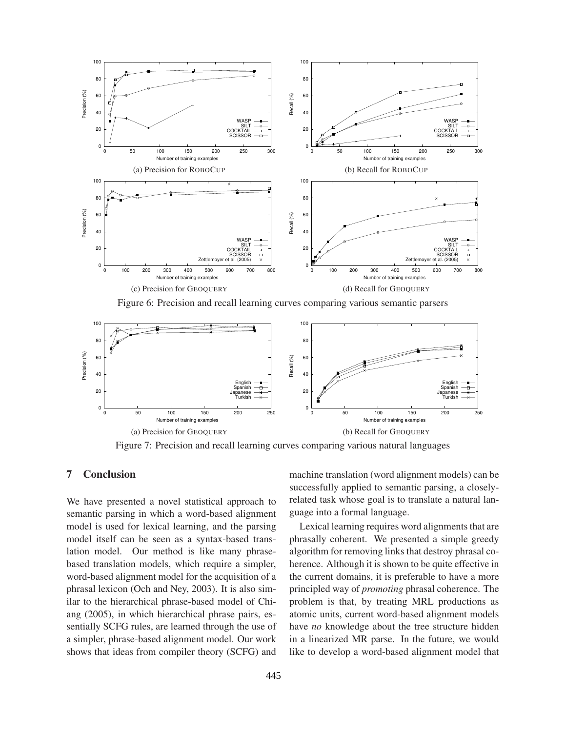

Figure 6: Precision and recall learning curves comparing various semantic parsers



Figure 7: Precision and recall learning curves comparing various natural languages

## **7 Conclusion**

We have presented a novel statistical approach to semantic parsing in which a word-based alignment model is used for lexical learning, and the parsing model itself can be seen as a syntax-based translation model. Our method is like many phrasebased translation models, which require a simpler, word-based alignment model for the acquisition of a phrasal lexicon (Och and Ney, 2003). It is also similar to the hierarchical phrase-based model of Chiang (2005), in which hierarchical phrase pairs, essentially SCFG rules, are learned through the use of a simpler, phrase-based alignment model. Our work shows that ideas from compiler theory (SCFG) and machine translation (word alignment models) can be successfully applied to semantic parsing, a closelyrelated task whose goal is to translate a natural language into a formal language.

Lexical learning requires word alignments that are phrasally coherent. We presented a simple greedy algorithm for removing links that destroy phrasal coherence. Although it is shown to be quite effective in the current domains, it is preferable to have a more principled way of *promoting* phrasal coherence. The problem is that, by treating MRL productions as atomic units, current word-based alignment models have *no* knowledge about the tree structure hidden in a linearized MR parse. In the future, we would like to develop a word-based alignment model that